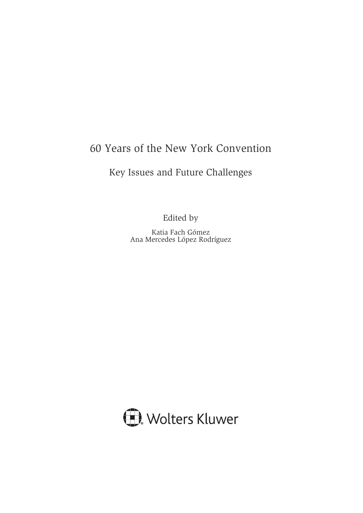# 60 Years of the New York Convention

## Key Issues and Future Challenges

Edited by

Katia Fach Gómez Ana Mercedes López Rodríguez

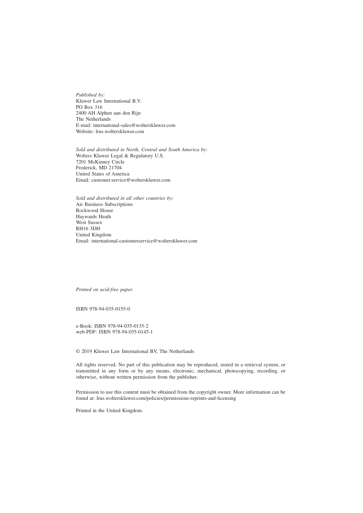*Published by:* Kluwer Law International B.V. PO Box 316 2400 AH Alphen aan den Rijn The Netherlands E-mail: international-sales@wolterskluwer.com Website: lrus.wolterskluwer.com

*Sold and distributed in North, Central and South America by:* Wolters Kluwer Legal & Regulatory U.S. 7201 McKinney Circle Frederick, MD 21704 United States of America Email: customer.service@wolterskluwer.com

*Sold and distributed in all other countries by:* Air Business Subscriptions Rockwood House Haywards Heath West Sussex RH16 3DH United Kingdom Email: international-customerservice@wolterskluwer.com

*Printed on acid-free paper.*

ISBN 978-94-035-0155-0

e-Book: ISBN 978-94-035-0135-2 web-PDF: ISBN 978-94-035-0145-1

© 2019 Kluwer Law International BV, The Netherlands

All rights reserved. No part of this publication may be reproduced, stored in a retrieval system, or transmitted in any form or by any means, electronic, mechanical, photocopying, recording, or otherwise, without written permission from the publisher.

Permission to use this content must be obtained from the copyright owner. More information can be found at: lrus.wolterskluwer.com/policies/permissions-reprints-and-licensing

Printed in the United Kingdom.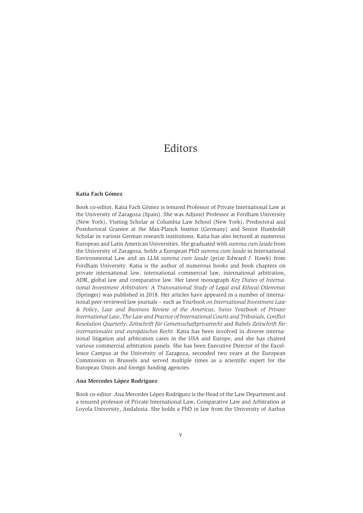## Editors

#### **Katia Fach Gómez**

Book co-editor. Katia Fach Gómez is tenured Professor of Private International Law at the University of Zaragoza (Spain). She was Adjunct Professor at Fordham University (New York), Visiting Scholar at Columbia Law School (New York), Predoctoral and Postdoctoral Grantee at the Max-Planck Institut (Germany) and Senior Humboldt Scholar in various German research institutions. Katia has also lectured at numerous European and Latin American Universities. She graduated with *summa cum laude* from the University of Zaragoza, holds a European PhD *summa cum laude* in International Environmental Law and an LLM *summa cum laude* (prize Edward J. Hawk) from Fordham University. Katia is the author of numerous books and book chapters on private international law, international commercial law, international arbitration, ADR, global law and comparative law. Her latest monograph *Key Duties of International Investment Arbitrators: A Transnational Study of Legal and Ethical Dilemmas* (Springer) was published in 2018. Her articles have appeared in a number of international peer-reviewed law journals – such as *Yearbook on International Investment Law & Policy*, *Law and Business Review of the Americas*, *Swiss Yearbook of Private International Law*, *The Law and Practice of International Courts and Tribunals, Conflict Resolution Quarterly, Zeitschrift für Gemeinschaftprivatrecht* and *Rabels Zeitschrift für internationales und europäisches Recht.* Katia has been involved in diverse international litigation and arbitration cases in the USA and Europe, and she has chaired various commercial arbitration panels. She has been Executive Director of the Excellence Campus at the University of Zaragoza, seconded two years at the European Commission in Brussels and served multiple times as a scientific expert for the European Union and foreign funding agencies.

#### **Ana Mercedes López Rodríguez**

Book co-editor. Ana Mercedes López Rodríguez is the Head of the Law Department and a tenured professor of Private International Law, Comparative Law and Arbitration at Loyola University, Andalusia. She holds a PhD in law from the University of Aarhus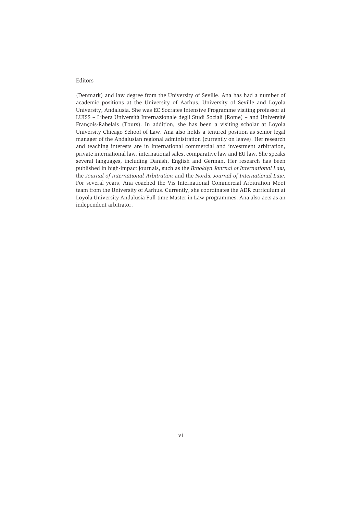(Denmark) and law degree from the University of Seville. Ana has had a number of academic positions at the University of Aarhus, University of Seville and Loyola University, Andalusia. She was EC Socrates Intensive Programme visiting professor at LUISS – Libera Università Internazionale degli Studi Sociali (Rome) – and Université François-Rabelais (Tours). In addition, she has been a visiting scholar at Loyola University Chicago School of Law. Ana also holds a tenured position as senior legal manager of the Andalusian regional administration (currently on leave). Her research and teaching interests are in international commercial and investment arbitration, private international law, international sales, comparative law and EU law. She speaks several languages, including Danish, English and German. Her research has been published in high-impact journals, such as the *Brooklyn Journal of International Law*, the *Journal of International Arbitration* and the *Nordic Journal of International Law*. For several years, Ana coached the Vis International Commercial Arbitration Moot team from the University of Aarhus. Currently, she coordinates the ADR curriculum at Loyola University Andalusia Full-time Master in Law programmes. Ana also acts as an independent arbitrator.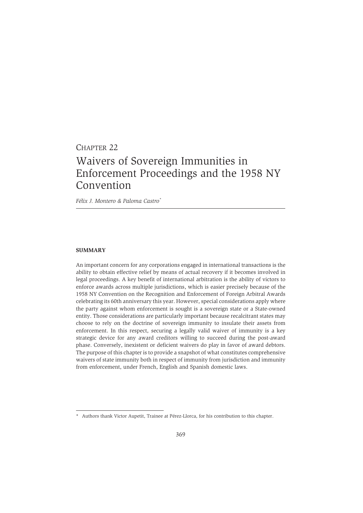# CHAPTER 22 Waivers of Sovereign Immunities in Enforcement Proceedings and the 1958 NY Convention

*Félix J. Montero & Paloma Castro\**

#### **SUMMARY**

An important concern for any corporations engaged in international transactions is the ability to obtain effective relief by means of actual recovery if it becomes involved in legal proceedings. A key benefit of international arbitration is the ability of victors to enforce awards across multiple jurisdictions, which is easier precisely because of the 1958 NY Convention on the Recognition and Enforcement of Foreign Arbitral Awards celebrating its 60th anniversary this year. However, special considerations apply where the party against whom enforcement is sought is a sovereign state or a State-owned entity. Those considerations are particularly important because recalcitrant states may choose to rely on the doctrine of sovereign immunity to insulate their assets from enforcement. In this respect, securing a legally valid waiver of immunity is a key strategic device for any award creditors willing to succeed during the post-award phase. Conversely, inexistent or deficient waivers do play in favor of award debtors. The purpose of this chapter is to provide a snapshot of what constitutes comprehensive waivers of state immunity both in respect of immunity from jurisdiction and immunity from enforcement, under French, English and Spanish domestic laws.

<sup>\*</sup> Authors thank Victor Aupetit, Trainee at Pérez-Llorca, for his contribution to this chapter.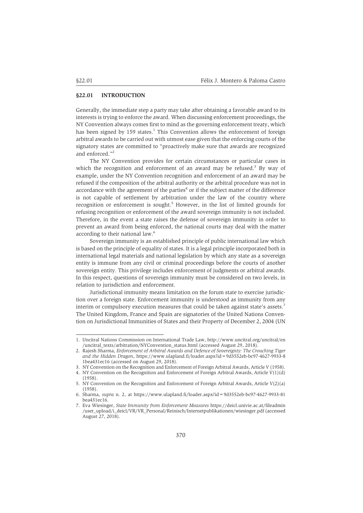## **§22.01 INTRODUCTION**

Generally, the immediate step a party may take after obtaining a favorable award to its interests is trying to enforce the award. When discussing enforcement proceedings, the NY Convention always comes first to mind as the governing enforcement treaty, which has been signed by 159 states.<sup>1</sup> This Convention allows the enforcement of foreign arbitral awards to be carried out with utmost ease given that the enforcing courts of the signatory states are committed to "proactively make sure that awards are recognized and enforced."2

The NY Convention provides for certain circumstances or particular cases in which the recognition and enforcement of an award may be refused.<sup>3</sup> By way of example, under the NY Convention recognition and enforcement of an award may be refused if the composition of the arbitral authority or the arbitral procedure was not in accordance with the agreement of the parties<sup>4</sup> or if the subject matter of the difference is not capable of settlement by arbitration under the law of the country where recognition or enforcement is sought.<sup>5</sup> However, in the list of limited grounds for refusing recognition or enforcement of the award sovereign immunity is not included. Therefore, in the event a state raises the defense of sovereign immunity in order to prevent an award from being enforced, the national courts may deal with the matter according to their national law.6

Sovereign immunity is an established principle of public international law which is based on the principle of equality of states. It is a legal principle incorporated both in international legal materials and national legislation by which any state as a sovereign entity is immune from any civil or criminal proceedings before the courts of another sovereign entity. This privilege includes enforcement of judgments or arbitral awards. In this respect, questions of sovereign immunity must be considered on two levels, in relation to jurisdiction and enforcement.

Jurisdictional immunity means limitation on the forum state to exercise jurisdiction over a foreign state. Enforcement immunity is understood as immunity from any interim or compulsory execution measures that could be taken against state's assets.<sup>7</sup> The United Kingdom, France and Spain are signatories of the United Nations Convention on Jurisdictional Immunities of States and their Property of December 2, 2004 (UN

<sup>1.</sup> Uncitral Nations Commission on International Trade Law, http://www.uncitral.org/uncitral/en /uncitral\_texts/arbitration/NYConvention\_status.html (accessed August 29, 2018).

<sup>2.</sup> Rajesh Sharma, *Enforcement of Arbitral Awards and Defence of Sovereignty: The Crouching Tiger and the Hidden Dragon*, https://www.ulapland.fi/loader.aspx?id=9d3552eb-bc97-4627-9933-8 1bea431ec16 (accessed on August 29, 2018).

<sup>3.</sup> NY Convention on the Recognition and Enforcement of Foreign Arbitral Awards, Article V (1958).

<sup>4.</sup> NY Convention on the Recognition and Enforcement of Foreign Arbitral Awards, Article V(1)(d) (1958).

<sup>5.</sup> NY Convention on the Recognition and Enforcement of Foreign Arbitral Awards, Article V(2)(a) (1958).

<sup>6.</sup> Sharma, *supra* n. 2, at https://www.ulapland.fi/loader.aspx?id=9d3552eb-bc97-4627-9933-81 bea431ec16.

<sup>7.</sup> Eva Wiesinger, *State Immunity from Enforcement Measures* https://deicl.univie.ac.at/fileadmin /user\_upload/i\_deicl/VR/VR\_Personal/Reinisch/Internetpublikationen/wiesinger.pdf (accessed August 27, 2018).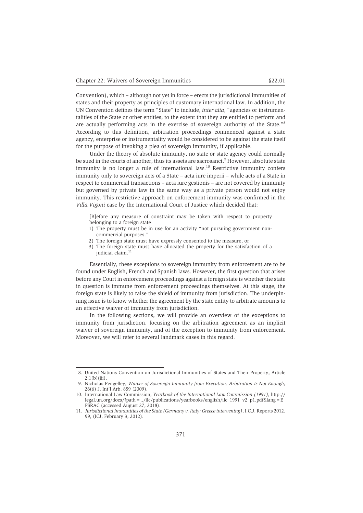Convention), which – although not yet in force – erects the jurisdictional immunities of states and their property as principles of customary international law. In addition, the UN Convention defines the term "State" to include, *inter alia*, "agencies or instrumentalities of the State or other entities, to the extent that they are entitled to perform and are actually performing acts in the exercise of sovereign authority of the State."8 According to this definition, arbitration proceedings commenced against a state agency, enterprise or instrumentality would be considered to be against the state itself for the purpose of invoking a plea of sovereign immunity, if applicable.

Under the theory of absolute immunity, no state or state agency could normally be sued in the courts of another, thus its assets are sacrosanct.<sup>9</sup> However, absolute state immunity is no longer a rule of international law.<sup>10</sup> Restrictive immunity confers immunity only to sovereign acts of a State – acta iure imperii – while acts of a State in respect to commercial transactions – acta iure gestionis – are not covered by immunity but governed by private law in the same way as a private person would not enjoy immunity. This restrictive approach on enforcement immunity was confirmed in the *Villa Vigoni* case by the International Court of Justice which decided that:

[B]efore any measure of constraint may be taken with respect to property belonging to a foreign state

- 1) The property must be in use for an activity "not pursuing government noncommercial purposes."
- 2) The foreign state must have expressly consented to the measure, or
- 3) The foreign state must have allocated the property for the satisfaction of a judicial claim.<sup>11</sup>

Essentially, these exceptions to sovereign immunity from enforcement are to be found under English, French and Spanish laws. However, the first question that arises before any Court in enforcement proceedings against a foreign state is whether the state in question is immune from enforcement proceedings themselves. At this stage, the foreign state is likely to raise the shield of immunity from jurisdiction. The underpinning issue is to know whether the agreement by the state entity to arbitrate amounts to an effective waiver of immunity from jurisdiction.

In the following sections, we will provide an overview of the exceptions to immunity from jurisdiction, focusing on the arbitration agreement as an implicit waiver of sovereign immunity, and of the exception to immunity from enforcement. Moreover, we will refer to several landmark cases in this regard.

<sup>8.</sup> United Nations Convention on Jurisdictional Immunities of States and Their Property, Article 2.1(b)(iii).

<sup>9.</sup> Nicholas Pengelley, *Waiver of Sovereign Immunity from Execution: Arbitration Is Not Enough*, 26(6) J. Int'l Arb. 859 (2009).

<sup>10.</sup> International Law Commission, *Yearbook of the International Law Commission (1991)*, http:// legal.un.org/docs/?path=../ilc/publications/yearbooks/english/ilc\_1991\_v2\_p1.pdf&lang=E FSRAC (accessed August 27, 2018).

<sup>11.</sup> *Jurisdictional Immunities of the State (Germany v. Italy: Greece intervening)*, I.C.J. Reports 2012, 99, (ICJ, February 3, 2012).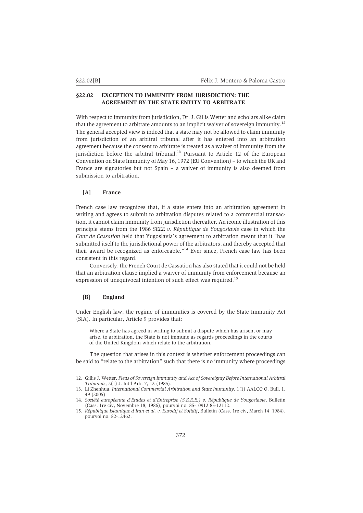## **§22.02 EXCEPTION TO IMMUNITY FROM JURISDICTION: THE AGREEMENT BY THE STATE ENTITY TO ARBITRATE**

With respect to immunity from jurisdiction, Dr. J. Gillis Wetter and scholars alike claim that the agreement to arbitrate amounts to an implicit waiver of sovereign immunity.<sup>12</sup> The general accepted view is indeed that a state may not be allowed to claim immunity from jurisdiction of an arbitral tribunal after it has entered into an arbitration agreement because the consent to arbitrate is treated as a waiver of immunity from the jurisdiction before the arbitral tribunal.<sup>13</sup> Pursuant to Article 12 of the European Convention on State Immunity of May 16, 1972 (EU Convention) – to which the UK and France are signatories but not Spain – a waiver of immunity is also deemed from submission to arbitration.

## **[A] France**

French case law recognizes that, if a state enters into an arbitration agreement in writing and agrees to submit to arbitration disputes related to a commercial transaction, it cannot claim immunity from jurisdiction thereafter. An iconic illustration of this principle stems from the 1986 *SEEE v. République de Yougoslavie* case in which the *Cour de Cassation* held that Yugoslavia's agreement to arbitration meant that it "has submitted itself to the jurisdictional power of the arbitrators, and thereby accepted that their award be recognized as enforceable."14 Ever since, French case law has been consistent in this regard.

Conversely, the French Court de Cassation has also stated that it could not be held that an arbitration clause implied a waiver of immunity from enforcement because an expression of unequivocal intention of such effect was required.<sup>15</sup>

## **[B] England**

Under English law, the regime of immunities is covered by the State Immunity Act (SIA). In particular, Article 9 provides that:

Where a State has agreed in writing to submit a dispute which has arisen, or may arise, to arbitration, the State is not immune as regards proceedings in the courts of the United Kingdom which relate to the arbitration.

The question that arises in this context is whether enforcement proceedings can be said to "relate to the arbitration" such that there is no immunity where proceedings

<sup>12.</sup> Gillis J. Wetter, *Pleas of Sovereign Immunity and Act of Sovereignty Before International Arbitral Tribunals*, 2(1) J. Int'l Arb. 7, 12 (1985).

<sup>13.</sup> Li Zhenhua, *International Commercial Arbitration and State Immunity*, 1(1) AALCO Q. Bull. 1, 49 (2005).

<sup>14.</sup> *Société européenne d'Etudes et d'Entreprise (S.E.E.E.) v. République de Yougoslavie*, Bulletin (Cass. 1re civ, Novembre 18, 1986), pourvoi no. 85-10912 85-12112*.*

<sup>15.</sup> *République Islamique d'Iran et al. v. Eurodif et Sofidif*, Bulletin (Cass. 1re civ, March 14, 1984), pourvoi no. 82-12462.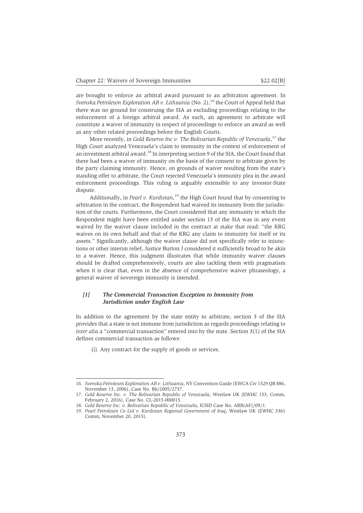are brought to enforce an arbitral award pursuant to an arbitration agreement. In *Svenska Petroleum Exploration AB v. Lithuania* (No. 2),<sup>16</sup> the Court of Appeal held that there was no ground for construing the SIA as excluding proceedings relating to the enforcement of a foreign arbitral award. As such, an agreement to arbitrate will constitute a waiver of immunity in respect of proceedings to enforce an award as well as any other related proceedings before the English Courts.

More recently, in *Gold Reserve Inc v. The Bolivarian Republic of Venezuela*, <sup>17</sup> the High Court analyzed Venezuela's claim to immunity in the context of enforcement of an investment arbitral award.<sup>18</sup> In interpreting section 9 of the SIA, the Court found that there had been a waiver of immunity on the basis of the consent to arbitrate given by the party claiming immunity. Hence, on grounds of waiver resulting from the state's standing offer to arbitrate, the Court rejected Venezuela's immunity plea in the award enforcement proceedings. This ruling is arguably extensible to any investor-State dispute.

Additionally, in *Pearl v. Kurdistan,*<sup>19</sup> the High Court found that by consenting to arbitration in the contract, the Respondent had waived its immunity from the jurisdiction of the courts. Furthermore, the Court considered that any immunity to which the Respondent might have been entitled under section 13 of the SIA was in any event waived by the waiver clause included in the contract at stake that read: "the KRG waives on its own behalf and that of the KRG any claim to immunity for itself or its assets." Significantly, although the waiver clause did not specifically refer to injunctions or other interim relief, Justice Burton J considered it sufficiently broad to be akin to a waiver. Hence, this judgment illustrates that while immunity waiver clauses should be drafted comprehensively, courts are also tackling them with pragmatism when it is clear that, even in the absence of comprehensive waiver phraseology, a general waiver of sovereign immunity is intended.

## *[1] The Commercial Transaction Exception to Immunity from Jurisdiction under English Law*

In addition to the agreement by the state entity to arbitrate, section 3 of the SIA provides that a state is not immune from jurisdiction as regards proceedings relating to *inter alia* a "commercial transaction" entered into by the state. Section 3(1) of the SIA defines commercial transaction as follows:

(i) Any contract for the supply of goods or services.

<sup>16.</sup> *Svenska Petroleum Exploration AB v. Lithuania*, NY Convention Guide (EWCA Civ 1529 QB 886, November 13, 2006), Case No. B6/2005/2737.

<sup>17.</sup> *Gold Reserve Inc. v. The Bolivarian Republic of Venezuela*, Westlaw UK (EWHC 153, Comm, February 2, 2016), Case No. CL-2015-000015.

<sup>18.</sup> *Gold Reserve Inc. v. Bolivarian Republic of Venezuela*, ICSID Case No. ARB(AF)/09/1.

<sup>19.</sup> *Pearl Petroleum Co Ltd v. Kurdistan Regional Government of Iraq*, Westlaw UK (EWHC 3361 Comm, November 20, 2015).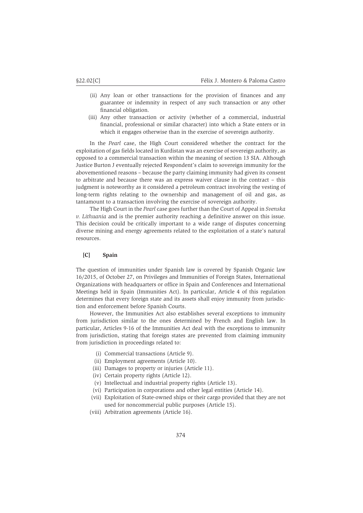- (ii) Any loan or other transactions for the provision of finances and any guarantee or indemnity in respect of any such transaction or any other financial obligation.
- (iii) Any other transaction or activity (whether of a commercial, industrial financial, professional or similar character) into which a State enters or in which it engages otherwise than in the exercise of sovereign authority.

In the *Pearl* case, the High Court considered whether the contract for the exploitation of gas fields located in Kurdistan was an exercise of sovereign authority, as opposed to a commercial transaction within the meaning of section 13 SIA. Although Justice Burton J eventually rejected Respondent's claim to sovereign immunity for the abovementioned reasons – because the party claiming immunity had given its consent to arbitrate and because there was an express waiver clause in the contract – this judgment is noteworthy as it considered a petroleum contract involving the vesting of long-term rights relating to the ownership and management of oil and gas, as tantamount to a transaction involving the exercise of sovereign authority.

The High Court in the *Pearl* case goes further than the Court of Appeal in *Svenska v. Lithuania* and is the premier authority reaching a definitive answer on this issue. This decision could be critically important to a wide range of disputes concerning diverse mining and energy agreements related to the exploitation of a state's natural resources.

#### **[C] Spain**

The question of immunities under Spanish law is covered by Spanish Organic law 16/2015, of October 27, on Privileges and Immunities of Foreign States, International Organizations with headquarters or office in Spain and Conferences and International Meetings held in Spain (Immunities Act). In particular, Article 4 of this regulation determines that every foreign state and its assets shall enjoy immunity from jurisdiction and enforcement before Spanish Courts.

However, the Immunities Act also establishes several exceptions to immunity from jurisdiction similar to the ones determined by French and English law. In particular, Articles 9-16 of the Immunities Act deal with the exceptions to immunity from jurisdiction, stating that foreign states are prevented from claiming immunity from jurisdiction in proceedings related to:

- (i) Commercial transactions (Article 9).
- (ii) Employment agreements (Article 10).
- (iii) Damages to property or injuries (Article 11).
- (iv) Certain property rights (Article 12).
- (v) Intellectual and industrial property rights (Article 13).
- (vi) Participation in corporations and other legal entities (Article 14).
- (vii) Exploitation of State-owned ships or their cargo provided that they are not used for noncommercial public purposes (Article 15).
- (viii) Arbitration agreements (Article 16).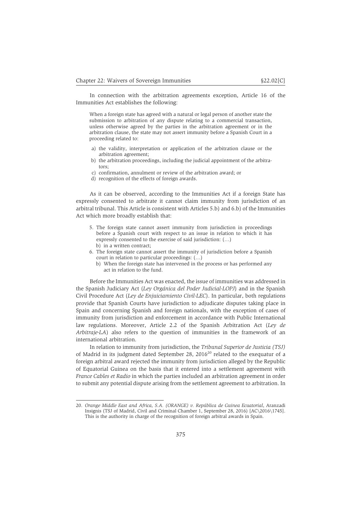In connection with the arbitration agreements exception, Article 16 of the Immunities Act establishes the following:

When a foreign state has agreed with a natural or legal person of another state the submission to arbitration of any dispute relating to a commercial transaction, unless otherwise agreed by the parties in the arbitration agreement or in the arbitration clause, the state may not assert immunity before a Spanish Court in a proceeding related to:

- a) the validity, interpretation or application of the arbitration clause or the arbitration agreement;
- b) the arbitration proceedings, including the judicial appointment of the arbitrators;
- c) confirmation, annulment or review of the arbitration award; or
- d) recognition of the effects of foreign awards.

As it can be observed, according to the Immunities Act if a foreign State has expressly consented to arbitrate it cannot claim immunity from jurisdiction of an arbitral tribunal. This Article is consistent with Articles 5.b) and 6.b) of the Immunities Act which more broadly establish that:

- 5. The foreign state cannot assert immunity from jurisdiction in proceedings before a Spanish court with respect to an issue in relation to which it has expressly consented to the exercise of said jurisdiction: (…) b) in a written contract;
- 6. The foreign state cannot assert the immunity of jurisdiction before a Spanish court in relation to particular proceedings: (…)
	- b) When the foreign state has intervened in the process or has performed any act in relation to the fund.

Before the Immunities Act was enacted, the issue of immunities was addressed in the Spanish Judiciary Act (*Ley Orgánica del Poder Judicial-LOPJ*) and in the Spanish Civil Procedure Act (*Ley de Enjuiciamiento Civil-LEC*). In particular, both regulations provide that Spanish Courts have jurisdiction to adjudicate disputes taking place in Spain and concerning Spanish and foreign nationals, with the exception of cases of immunity from jurisdiction and enforcement in accordance with Public International law regulations. Moreover, Article 2.2 of the Spanish Arbitration Act (*Ley de Arbitraje-LA*) also refers to the question of immunities in the framework of an international arbitration.

In relation to immunity from jurisdiction, the *Tribunal Superior de Justicia (TSJ)* of Madrid in its judgment dated September 28,  $2016^{20}$  related to the exequatur of a foreign arbitral award rejected the immunity from jurisdiction alleged by the Republic of Equatorial Guinea on the basis that it entered into a settlement agreement with *France Cables et Radio* in which the parties included an arbitration agreement in order to submit any potential dispute arising from the settlement agreement to arbitration. In

<sup>20.</sup> *Orange Middle East and Africa, S.A. (ORANGE) v. República de Guinea Ecuatorial*, Aranzadi Insignis (TSJ of Madrid, Civil and Criminal Chamber 1, September 28, 2016) [AC\2016\1745]. This is the authority in charge of the recognition of foreign arbitral awards in Spain.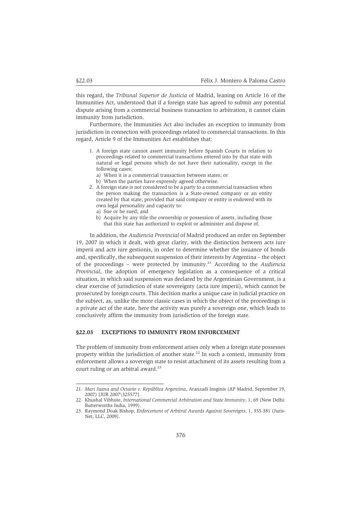this regard, the *Tribunal Superior de Justicia* of Madrid, leaning on Article 16 of the Immunities Act, understood that if a foreign state has agreed to submit any potential dispute arising from a commercial business transaction to arbitration, it cannot claim immunity from jurisdiction.

Furthermore, the Immunities Act also includes an exception to immunity from jurisdiction in connection with proceedings related to commercial transactions. In this regard, Article 9 of the Immunities Act establishes that:

- 1. A foreign state cannot assert immunity before Spanish Courts in relation to proceedings related to commercial transactions entered into by that state with natural or legal persons which do not have their nationality, except in the following cases:
	- a) When it is a commercial transaction between states; or
	- b) When the parties have expressly agreed otherwise.
- 2. A foreign state is not considered to be a party to a commercial transaction when the person making the transaction is a State-owned company or an entity created by that state, provided that said company or entity is endowed with its own legal personality and capacity to:
	- a) Sue or be sued; and
	- b) Acquire by any title the ownership or possession of assets, including those that this state has authorized to exploit or administer and dispose of.

In addition, the *Audiencia Provincial* of Madrid produced an order on September 19, 2007 in which it dealt, with great clarity, with the distinction between acts iure imperii and acts iure gestionis, in order to determine whether the issuance of bonds and, specifically, the subsequent suspension of their interests by Argentina – the object of the proceedings – were protected by immunity.21 According to the *Audiencia Provincial*, the adoption of emergency legislation as a consequence of a critical situation, in which said suspension was declared by the Argentinian Government, is a clear exercise of jurisdiction of state sovereignty (acta iure imperii), which cannot be prosecuted by foreign courts. This decision marks a unique case in judicial practice on the subject, as, unlike the more classic cases in which the object of the proceedings is a private act of the state, here the activity was purely a sovereign one, which leads to conclusively affirm the immunity from jurisdiction of the foreign state.

## **§22.03 EXCEPTIONS TO IMMUNITY FROM ENFORCEMENT**

The problem of immunity from enforcement arises only when a foreign state possesses property within the jurisdiction of another state.<sup>22</sup> In such a context, immunity from enforcement allows a sovereign state to resist attachment of its assets resulting from a court ruling or an arbitral award.<sup>23</sup>

<sup>21.</sup> *Mari Juana and Octavio v. República Argentina*, Aranzadi Insginis (AP Madrid, September 19, 2007) [JUR 2007\325577].

<sup>22.</sup> Khushal Vibhute, *International Commercial Arbitration and State Immunity*, 1, 69 (New Delhi: Butterworths India, 1999).

<sup>23.</sup> Raymond Doak Bishop, *Enforcement of Arbitral Awards Against Sovereigns*, 1, 355-381 (Juris-Net, LLC, 2009).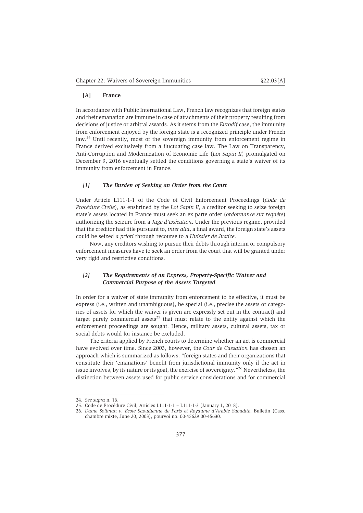## **[A] France**

In accordance with Public International Law, French law recognizes that foreign states and their emanation are immune in case of attachments of their property resulting from decisions of justice or arbitral awards. As it stems from the *Eurodif* case, the immunity from enforcement enjoyed by the foreign state is a recognized principle under French law.<sup>24</sup> Until recently, most of the sovereign immunity from enforcement regime in France derived exclusively from a fluctuating case law. The Law on Transparency, Anti-Corruption and Modernization of Economic Life (*Loi Sapin II*) promulgated on December 9, 2016 eventually settled the conditions governing a state's waiver of its immunity from enforcement in France.

## *[1] The Burden of Seeking an Order from the Court*

Under Article L111-1-1 of the Code of Civil Enforcement Proceedings (*Code de Procédure Civile*), as enshrined by the *Loi Sapin II*, a creditor seeking to seize foreign state's assets located in France must seek an ex parte order (*ordonnance sur requête*) authorizing the seizure from a *Juge d'exécution*. Under the previous regime, provided that the creditor had title pursuant to, *inter alia*, a final award, the foreign state's assets could be seized *a priori* through recourse to a *Huissier de Justice*.

Now, any creditors wishing to pursue their debts through interim or compulsory enforcement measures have to seek an order from the court that will be granted under very rigid and restrictive conditions.

## *[2] The Requirements of an Express, Property-Specific Waiver and Commercial Purpose of the Assets Targeted*

In order for a waiver of state immunity from enforcement to be effective, it must be express (i.e., written and unambiguous), be special (i.e., precise the assets or categories of assets for which the waiver is given are expressly set out in the contract) and target purely commercial assets<sup>25</sup> that must relate to the entity against which the enforcement proceedings are sought. Hence, military assets, cultural assets, tax or social debts would for instance be excluded.

The criteria applied by French courts to determine whether an act is commercial have evolved over time. Since 2003, however, the *Cour de Cassation* has chosen an approach which is summarized as follows: "foreign states and their organizations that constitute their 'emanations' benefit from jurisdictional immunity only if the act in issue involves, by its nature or its goal, the exercise of sovereignty."26 Nevertheless, the distinction between assets used for public service considerations and for commercial

<sup>24.</sup> *See supra* n. 16.

<sup>25.</sup> Code de Procédure Civil, Articles L111-1-1 – L111-1-3 (January 1, 2018).

<sup>26.</sup> *Dame Soliman v. Ecole Saoudienne de Paris et Royaume d'Arabie Saoudite*, Bulletin (Cass. chambre mixte, June 20, 2003), pourvoi no. 00-45629 00-45630.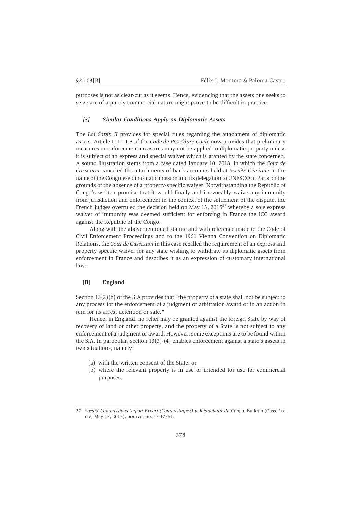purposes is not as clear-cut as it seems. Hence, evidencing that the assets one seeks to seize are of a purely commercial nature might prove to be difficult in practice.

### *[3] Similar Conditions Apply on Diplomatic Assets*

The *Loi Sapin II* provides for special rules regarding the attachment of diplomatic assets. Article L111-1-3 of the *Code de Procédure Civile* now provides that preliminary measures or enforcement measures may not be applied to diplomatic property unless it is subject of an express and special waiver which is granted by the state concerned. A sound illustration stems from a case dated January 10, 2018, in which the *Cour de Cassation* canceled the attachments of bank accounts held at *Société Générale* in the name of the Congolese diplomatic mission and its delegation to UNESCO in Paris on the grounds of the absence of a property-specific waiver. Notwithstanding the Republic of Congo's written promise that it would finally and irrevocably waive any immunity from jurisdiction and enforcement in the context of the settlement of the dispute, the French judges overruled the decision held on May 13,  $2015^{27}$  whereby a sole express waiver of immunity was deemed sufficient for enforcing in France the ICC award against the Republic of the Congo.

Along with the abovementioned statute and with reference made to the Code of Civil Enforcement Proceedings and to the 1961 Vienna Convention on Diplomatic Relations, the *Cour de Cassation* in this case recalled the requirement of an express and property-specific waiver for any state wishing to withdraw its diplomatic assets from enforcement in France and describes it as an expression of customary international law.

#### **[B] England**

Section 13(2)(b) of the SIA provides that "the property of a state shall not be subject to any process for the enforcement of a judgment or arbitration award or in an action in rem for its arrest detention or sale."

Hence, in England, no relief may be granted against the foreign State by way of recovery of land or other property, and the property of a State is not subject to any enforcement of a judgment or award. However, some exceptions are to be found within the SIA. In particular, section  $13(3)-(4)$  enables enforcement against a state's assets in two situations, namely:

- (a) with the written consent of the State; or
- (b) where the relevant property is in use or intended for use for commercial purposes.

<sup>27.</sup> *Société Commissions Import Export (Commisimpex) v. République du Congo*, Bulletin (Cass. 1re civ, May 13, 2015), pourvoi no. 13-17751.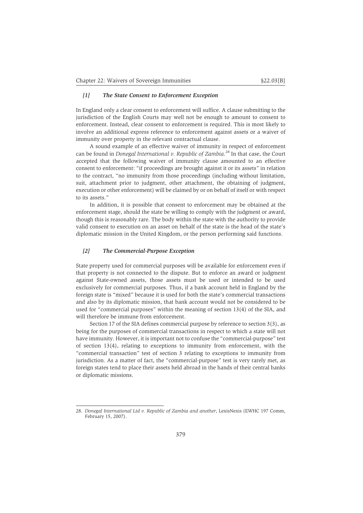#### *[1] The State Consent to Enforcement Exception*

In England only a clear consent to enforcement will suffice. A clause submitting to the jurisdiction of the English Courts may well not be enough to amount to consent to enforcement. Instead, clear consent to enforcement is required. This is most likely to involve an additional express reference to enforcement against assets or a waiver of immunity over property in the relevant contractual clause.

A sound example of an effective waiver of immunity in respect of enforcement can be found in *Donegal International v. Republic of Zambia*. <sup>28</sup> In that case, the Court accepted that the following waiver of immunity clause amounted to an effective consent to enforcement: "if proceedings are brought against it or its assets" in relation to the contract, "no immunity from those proceedings (including without limitation, suit, attachment prior to judgment, other attachment, the obtaining of judgment, execution or other enforcement) will be claimed by or on behalf of itself or with respect to its assets."

In addition, it is possible that consent to enforcement may be obtained at the enforcement stage, should the state be willing to comply with the judgment or award, though this is reasonably rare. The body within the state with the authority to provide valid consent to execution on an asset on behalf of the state is the head of the state's diplomatic mission in the United Kingdom, or the person performing said functions.

#### *[2] The Commercial-Purpose Exception*

State property used for commercial purposes will be available for enforcement even if that property is not connected to the dispute. But to enforce an award or judgment against State-owned assets, those assets must be used or intended to be used exclusively for commercial purposes. Thus, if a bank account held in England by the foreign state is "mixed" because it is used for both the state's commercial transactions and also by its diplomatic mission, that bank account would not be considered to be used for "commercial purposes" within the meaning of section 13(4) of the SIA, and will therefore be immune from enforcement.

Section 17 of the SIA defines commercial purpose by reference to section 3(3), as being for the purposes of commercial transactions in respect to which a state will not have immunity. However, it is important not to confuse the "commercial-purpose" test of section 13(4), relating to exceptions to immunity from enforcement, with the "commercial transaction" test of section 3 relating to exceptions to immunity from jurisdiction. As a matter of fact, the "commercial-purpose" test is very rarely met, as foreign states tend to place their assets held abroad in the hands of their central banks or diplomatic missions.

<sup>28.</sup> *Donegal International Ltd v. Republic of Zambia and another*, LexisNexis (EWHC 197 Comm, February 15, 2007).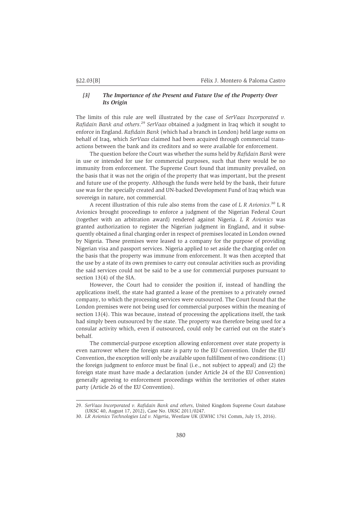## *[3] The Importance of the Present and Future Use of the Property Over Its Origin*

The limits of this rule are well illustrated by the case of *SerVaas Incorporated v. Rafidain Bank and others*. <sup>29</sup> *SerVaas* obtained a judgment in Iraq which it sought to enforce in England. *Rafidain Bank* (which had a branch in London) held large sums on behalf of Iraq, which *SerVaas* claimed had been acquired through commercial transactions between the bank and its creditors and so were available for enforcement.

The question before the Court was whether the sums held by *Rafidain Bank* were in use or intended for use for commercial purposes, such that there would be no immunity from enforcement. The Supreme Court found that immunity prevailed, on the basis that it was not the origin of the property that was important, but the present and future use of the property. Although the funds were held by the bank, their future use was for the specially created and UN-backed Development Fund of Iraq which was sovereign in nature, not commercial.

A recent illustration of this rule also stems from the case of *L R Avionics*. <sup>30</sup> L R Avionics brought proceedings to enforce a judgment of the Nigerian Federal Court (together with an arbitration award) rendered against Nigeria. *L R Avionics* was granted authorization to register the Nigerian judgment in England, and it subsequently obtained a final charging order in respect of premises located in London owned by Nigeria. These premises were leased to a company for the purpose of providing Nigerian visa and passport services. Nigeria applied to set aside the charging order on the basis that the property was immune from enforcement. It was then accepted that the use by a state of its own premises to carry out consular activities such as providing the said services could not be said to be a use for commercial purposes pursuant to section 13(4) of the SIA.

However, the Court had to consider the position if, instead of handling the applications itself, the state had granted a lease of the premises to a privately owned company, to which the processing services were outsourced. The Court found that the London premises were not being used for commercial purposes within the meaning of section 13(4). This was because, instead of processing the applications itself, the task had simply been outsourced by the state. The property was therefore being used for a consular activity which, even if outsourced, could only be carried out on the state's behalf.

The commercial-purpose exception allowing enforcement over state property is even narrower where the foreign state is party to the EU Convention. Under the EU Convention, the exception will only be available upon fulfillment of two conditions: (1) the foreign judgment to enforce must be final (i.e., not subject to appeal) and (2) the foreign state must have made a declaration (under Article 24 of the EU Convention) generally agreeing to enforcement proceedings within the territories of other states party (Article 26 of the EU Convention).

<sup>29.</sup> *SerVaas Incorporated v. Rafidain Bank and others,* United Kingdom Supreme Court database (UKSC 40, August 17, 2012), Case No. UKSC 2011/0247.

<sup>30.</sup> *LR Avionics Technologies Ltd v. Nigeria*, Westlaw UK (EWHC 1761 Comm, July 15, 2016).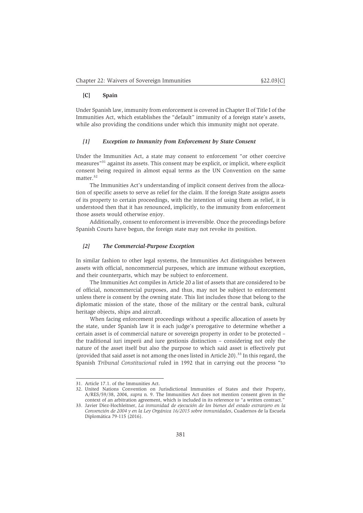## **[C] Spain**

Under Spanish law, immunity from enforcement is covered in Chapter II of Title I of the Immunities Act, which establishes the "default" immunity of a foreign state's assets, while also providing the conditions under which this immunity might not operate.

## *[1] Exception to Immunity from Enforcement by State Consent*

Under the Immunities Act, a state may consent to enforcement "or other coercive measures"31 against its assets. This consent may be explicit, or implicit, where explicit consent being required in almost equal terms as the UN Convention on the same matter.<sup>32</sup>

The Immunities Act's understanding of implicit consent derives from the allocation of specific assets to serve as relief for the claim. If the foreign State assigns assets of its property to certain proceedings, with the intention of using them as relief, it is understood then that it has renounced, implicitly, to the immunity from enforcement those assets would otherwise enjoy.

Additionally, consent to enforcement is irreversible. Once the proceedings before Spanish Courts have begun, the foreign state may not revoke its position.

## *[2] The Commercial-Purpose Exception*

In similar fashion to other legal systems, the Immunities Act distinguishes between assets with official, noncommercial purposes, which are immune without exception, and their counterparts, which may be subject to enforcement.

The Immunities Act compiles in Article 20 a list of assets that are considered to be of official, noncommercial purposes, and thus, may not be subject to enforcement unless there is consent by the owning state. This list includes those that belong to the diplomatic mission of the state, those of the military or the central bank, cultural heritage objects, ships and aircraft.

When facing enforcement proceedings without a specific allocation of assets by the state, under Spanish law it is each judge's prerogative to determine whether a certain asset is of commercial nature or sovereign property in order to be protected – the traditional iuri imperii and iure gestionis distinction – considering not only the nature of the asset itself but also the purpose to which said asset is effectively put (provided that said asset is not among the ones listed in Article 20).<sup>33</sup> In this regard, the Spanish *Tribunal Constitucional* ruled in 1992 that in carrying out the process "to

<sup>31.</sup> Article 17.1. of the Immunities Act.

<sup>32.</sup> United Nations Convention on Jurisdictional Immunities of States and their Property, A/RES/59/38, 2004, *supra* n. 9. The Immunities Act does not mention consent given in the context of an arbitration agreement, which is included in its reference to "a written contract."

<sup>33.</sup> Javier Díez-Hochleitner, *La inmunidad de ejecución de los bienes del estado extranjero en la Convención de 2004 y en la Ley Orgánica 16/2015 sobre inmunidades*, Cuadernos de la Escuela Diplomática 79-115 (2016).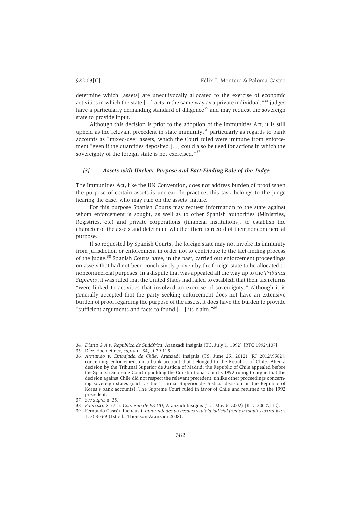determine which [assets] are unequivocally allocated to the exercise of economic activities in which the state  $\left[\ldots\right]$  acts in the same way as a private individual,"<sup>34</sup> judges have a particularly demanding standard of diligence<sup>35</sup> and may request the sovereign state to provide input.

Although this decision is prior to the adoption of the Immunities Act, it is still upheld as the relevant precedent in state immunity, $36$  particularly as regards to bank accounts as "mixed-use" assets, which the Court ruled were immune from enforcement "even if the quantities deposited […] could also be used for actions in which the sovereignty of the foreign state is not exercised."<sup>37</sup>

#### *[3] Assets with Unclear Purpose and Fact-Finding Role of the Judge*

The Immunities Act, like the UN Convention, does not address burden of proof when the purpose of certain assets is unclear. In practice, this task belongs to the judge hearing the case, who may rule on the assets' nature.

For this purpose Spanish Courts may request information to the state against whom enforcement is sought, as well as to other Spanish authorities (Ministries, Registries, etc) and private corporations (financial institutions), to establish the character of the assets and determine whether there is record of their noncommercial purpose.

If so requested by Spanish Courts, the foreign state may not invoke its immunity from jurisdiction or enforcement in order not to contribute to the fact-finding process of the judge.38 Spanish Courts have, in the past, carried out enforcement proceedings on assets that had not been conclusively proven by the foreign state to be allocated to noncommercial purposes. In a dispute that was appealed all the way up to the *Tribunal Supremo*, it was ruled that the United States had failed to establish that their tax returns "were linked to activities that involved an exercise of sovereignty." Although it is generally accepted that the party seeking enforcement does not have an extensive burden of proof regarding the purpose of the assets, it does have the burden to provide "sufficient arguments and facts to found […] its claim."39

<sup>34.</sup> *Diana G.A v. República de Sudáfrica*, Aranzadi Insignis (TC, July 1, 1992) [RTC 1992\107].

<sup>35.</sup> Díez-Hochleitner, *supra* n. 34, at 79-115.

<sup>36.</sup> *Armando v. Embajada de Chile*, Aranzadi Insignis (TS, June 25, 2012) [RJ 2012\9582], concerning enforcement on a bank account that belonged to the Republic of Chile. After a decision by the Tribunal Superior de Justicia of Madrid, the Republic of Chile appealed before the Spanish Supreme Court upholding the Constitutional Court's 1992 ruling to argue that the decision against Chile did not respect the relevant precedent, unlike other proceedings concerning sovereign states (such as the Tribunal Superior de Justicia decision on the Republic of Korea's bank accounts). The Supreme Court ruled in favor of Chile and returned to the 1992 precedent.

<sup>37.</sup> *See supra* n. 35.

<sup>38.</sup> *Francisco S. O. v. Gobierno de EE.UU*, Aranzadi Insignis (TC, May 6, 2002) [RTC 2002\112].

<sup>39.</sup> Fernando Gascón Inchausti, *Inmunidades procesales y tutela judicial frente a estados extranjeros* 1, 368-369 (1st ed., Thomson-Aranzadi 2008).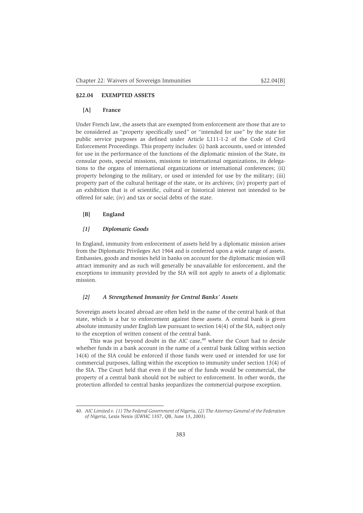## **§22.04 EXEMPTED ASSETS**

## **[A] France**

Under French law, the assets that are exempted from enforcement are those that are to be considered as "property specifically used" or "intended for use" by the state for public service purposes as defined under Article L111-1-2 of the Code of Civil Enforcement Proceedings. This property includes: (i) bank accounts, used or intended for use in the performance of the functions of the diplomatic mission of the State, its consular posts, special missions, missions to international organizations, its delegations to the organs of international organizations or international conferences; (ii) property belonging to the military, or used or intended for use by the military; (iii) property part of the cultural heritage of the state, or its archives; (iv) property part of an exhibition that is of scientific, cultural or historical interest not intended to be offered for sale; (iv) and tax or social debts of the state.

#### **[B] England**

## *[1] Diplomatic Goods*

In England, immunity from enforcement of assets held by a diplomatic mission arises from the Diplomatic Privileges Act 1964 and is conferred upon a wide range of assets. Embassies, goods and monies held in banks on account for the diplomatic mission will attract immunity and as such will generally be unavailable for enforcement, and the exceptions to immunity provided by the SIA will not apply to assets of a diplomatic mission.

## *[2] A Strengthened Immunity for Central Banks' Assets*

Sovereign assets located abroad are often held in the name of the central bank of that state, which is a bar to enforcement against these assets. A central bank is given absolute immunity under English law pursuant to section 14(4) of the SIA, subject only to the exception of written consent of the central bank.

This was put beyond doubt in the *AIC* case,<sup>40</sup> where the Court had to decide whether funds in a bank account in the name of a central bank falling within section 14(4) of the SIA could be enforced if those funds were used or intended for use for commercial purposes, falling within the exception to immunity under section 13(4) of the SIA. The Court held that even if the use of the funds would be commercial, the property of a central bank should not be subject to enforcement. In other words, the protection afforded to central banks jeopardizes the commercial-purpose exception.

<sup>40.</sup> *AIC Limited v. (1) The Federal Government of Nigeria, (2) The Attorney General of the Federation of Nigeria*, Lexis Nexis (EWHC 1357, QB, June 13, 2003).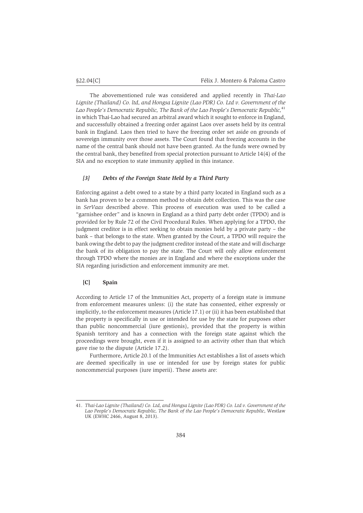The abovementioned rule was considered and applied recently in *Thai-Lao Lignite (Thailand) Co. ltd, and Hongsa Lignite (Lao PDR) Co. Ltd v. Government of the* Lao People's Democratic Republic, The Bank of the Lao People's Democratic Republic,<sup>41</sup> in which Thai-Lao had secured an arbitral award which it sought to enforce in England, and successfully obtained a freezing order against Laos over assets held by its central bank in England. Laos then tried to have the freezing order set aside on grounds of sovereign immunity over those assets. The Court found that freezing accounts in the name of the central bank should not have been granted. As the funds were owned by the central bank, they benefited from special protection pursuant to Article 14(4) of the SIA and no exception to state immunity applied in this instance.

## *[3] Debts of the Foreign State Held by a Third Party*

Enforcing against a debt owed to a state by a third party located in England such as a bank has proven to be a common method to obtain debt collection. This was the case in *SerVaas* described above. This process of execution was used to be called a "garnishee order" and is known in England as a third party debt order (TPDO) and is provided for by Rule 72 of the Civil Procedural Rules. When applying for a TPDO, the judgment creditor is in effect seeking to obtain monies held by a private party – the bank – that belongs to the state. When granted by the Court, a TPDO will require the bank owing the debt to pay the judgment creditor instead of the state and will discharge the bank of its obligation to pay the state. The Court will only allow enforcement through TPDO where the monies are in England and where the exceptions under the SIA regarding jurisdiction and enforcement immunity are met.

## **[C] Spain**

According to Article 17 of the Immunities Act, property of a foreign state is immune from enforcement measures unless: (i) the state has consented, either expressly or implicitly, to the enforcement measures (Article 17.1) or (ii) it has been established that the property is specifically in use or intended for use by the state for purposes other than public noncommercial (iure gestionis), provided that the property is within Spanish territory and has a connection with the foreign state against which the proceedings were brought, even if it is assigned to an activity other than that which gave rise to the dispute (Article 17.2).

Furthermore, Article 20.1 of the Immunities Act establishes a list of assets which are deemed specifically in use or intended for use by foreign states for public noncommercial purposes (iure imperii). These assets are:

<sup>41.</sup> *Thai-Lao Lignite (Thailand) Co. Ltd, and Hongsa Lignite (Lao PDR) Co. Ltd v. Government of the Lao People's Democratic Republic, The Bank of the Lao People's Democratic Republic*, Westlaw UK (EWHC 2466, August 8, 2013).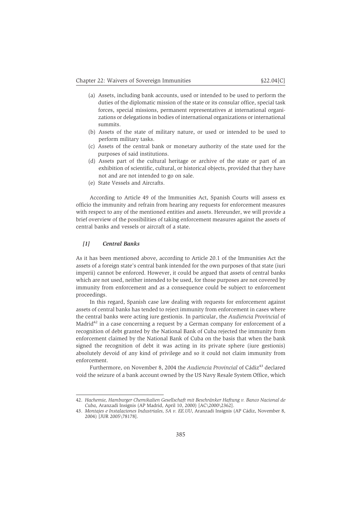- (a) Assets, including bank accounts, used or intended to be used to perform the duties of the diplomatic mission of the state or its consular office, special task forces, special missions, permanent representatives at international organizations or delegations in bodies of international organizations or international summits.
- (b) Assets of the state of military nature, or used or intended to be used to perform military tasks.
- (c) Assets of the central bank or monetary authority of the state used for the purposes of said institutions.
- (d) Assets part of the cultural heritage or archive of the state or part of an exhibition of scientific, cultural, or historical objects, provided that they have not and are not intended to go on sale.
- (e) State Vessels and Aircrafts.

According to Article 49 of the Immunities Act, Spanish Courts will assess ex officio the immunity and refrain from hearing any requests for enforcement measures with respect to any of the mentioned entities and assets. Hereunder, we will provide a brief overview of the possibilities of taking enforcement measures against the assets of central banks and vessels or aircraft of a state.

## *[1] Central Banks*

As it has been mentioned above, according to Article 20.1 of the Immunities Act the assets of a foreign state's central bank intended for the own purposes of that state (iuri imperii) cannot be enforced. However, it could be argued that assets of central banks which are not used, neither intended to be used, for those purposes are not covered by immunity from enforcement and as a consequence could be subject to enforcement proceedings.

In this regard, Spanish case law dealing with requests for enforcement against assets of central banks has tended to reject immunity from enforcement in cases where the central banks were acting iure gestionis. In particular, the *Audiencia Provincial* of Madrid $42$  in a case concerning a request by a German company for enforcement of a recognition of debt granted by the National Bank of Cuba rejected the immunity from enforcement claimed by the National Bank of Cuba on the basis that when the bank signed the recognition of debt it was acting in its private sphere (iure gestionis) absolutely devoid of any kind of privilege and so it could not claim immunity from enforcement.

Furthermore, on November 8, 2004 the *Audiencia Provincial* of Cádiz<sup>43</sup> declared void the seizure of a bank account owned by the US Navy Resale System Office, which

<sup>42.</sup> *Hachemie, Hamburger Chemikalien Gesellschaft mit Beschränker Haftung v. Banco Nacional de Cuba*, Aranzadi Insignis (AP Madrid, April 10, 2000) [AC\2000\2362].

<sup>43.</sup> *Montajes e Instalaciones Industriales, SA v. EE.UU*, Aranzadi Insignis (AP Cádiz, November 8, 2004) [JUR 2005\78178].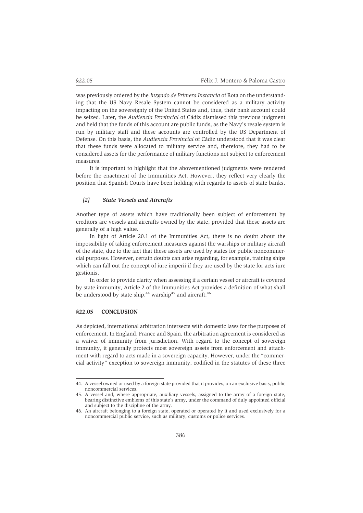was previously ordered by the *Juzgado de Primera Instancia* of Rota on the understanding that the US Navy Resale System cannot be considered as a military activity impacting on the sovereignty of the United States and, thus, their bank account could be seized. Later, the *Audiencia Provincial* of Cádiz dismissed this previous judgment and held that the funds of this account are public funds, as the Navy's resale system is run by military staff and these accounts are controlled by the US Department of Defense. On this basis, the *Audiencia Provincial* of Cádiz understood that it was clear that these funds were allocated to military service and, therefore, they had to be considered assets for the performance of military functions not subject to enforcement measures.

It is important to highlight that the abovementioned judgments were rendered before the enactment of the Immunities Act. However, they reflect very clearly the position that Spanish Courts have been holding with regards to assets of state banks.

## *[2] State Vessels and Aircrafts*

Another type of assets which have traditionally been subject of enforcement by creditors are vessels and aircrafts owned by the state, provided that these assets are generally of a high value.

In light of Article 20.1 of the Immunities Act, there is no doubt about the impossibility of taking enforcement measures against the warships or military aircraft of the state, due to the fact that these assets are used by states for public noncommercial purposes. However, certain doubts can arise regarding, for example, training ships which can fall out the concept of iure imperii if they are used by the state for acts iure gestionis.

In order to provide clarity when assessing if a certain vessel or aircraft is covered by state immunity, Article 2 of the Immunities Act provides a definition of what shall be understood by state ship,<sup>44</sup> warship<sup>45</sup> and aircraft.<sup>46</sup>

#### **§22.05 CONCLUSION**

As depicted, international arbitration intersects with domestic laws for the purposes of enforcement. In England, France and Spain, the arbitration agreement is considered as a waiver of immunity from jurisdiction. With regard to the concept of sovereign immunity, it generally protects most sovereign assets from enforcement and attachment with regard to acts made in a sovereign capacity. However, under the "commercial activity" exception to sovereign immunity, codified in the statutes of these three

<sup>44.</sup> A vessel owned or used by a foreign state provided that it provides, on an exclusive basis, public noncommercial services.

<sup>45.</sup> A vessel and, where appropriate, auxiliary vessels, assigned to the army of a foreign state, bearing distinctive emblems of this state's army, under the command of duly appointed official and subject to the discipline of the army.

<sup>46.</sup> An aircraft belonging to a foreign state, operated or operated by it and used exclusively for a noncommercial public service, such as military, customs or police services.